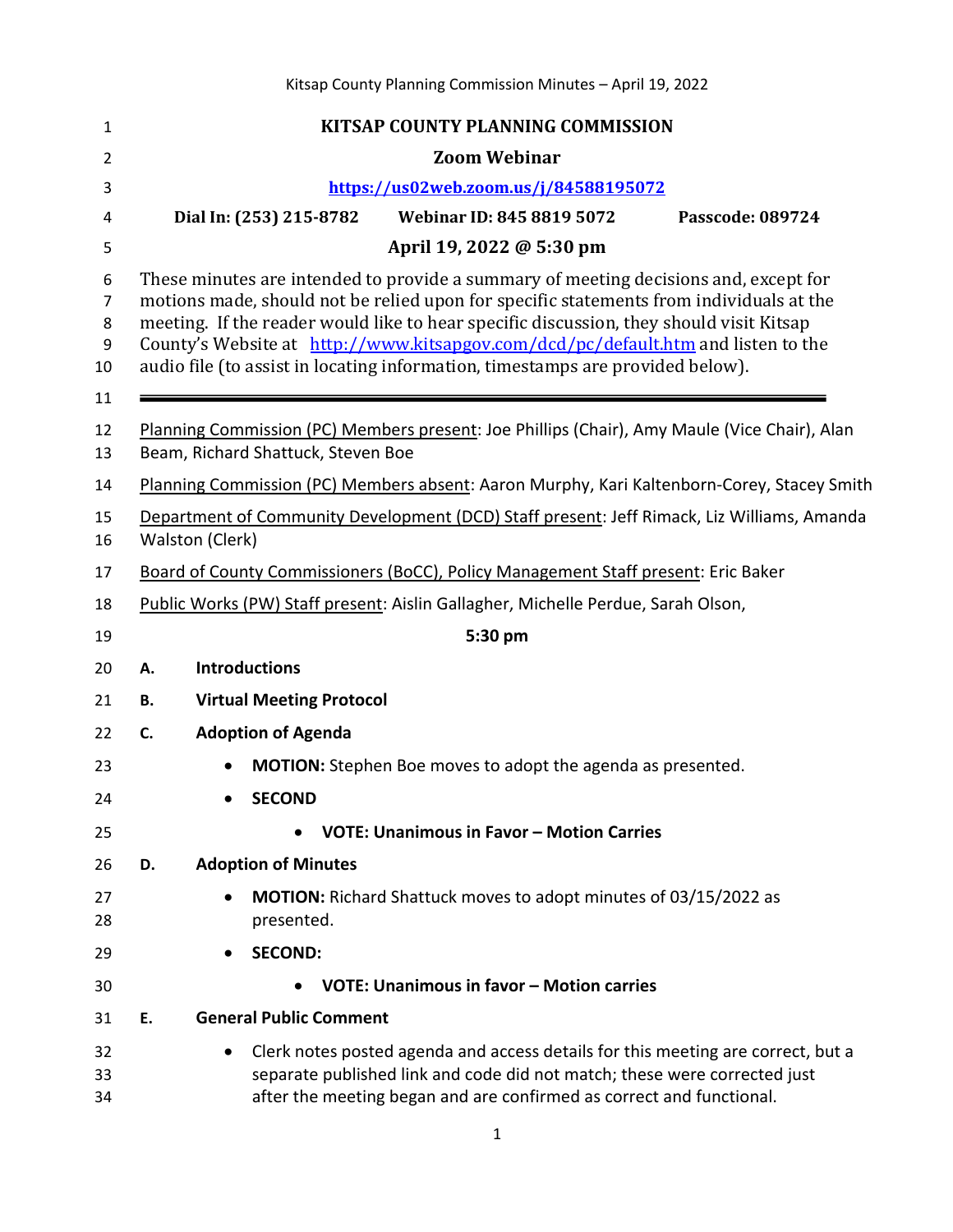| 1                      | <b>KITSAP COUNTY PLANNING COMMISSION</b>                                                                                                                                                                                                                                                                                                                                                                                                          |  |  |  |
|------------------------|---------------------------------------------------------------------------------------------------------------------------------------------------------------------------------------------------------------------------------------------------------------------------------------------------------------------------------------------------------------------------------------------------------------------------------------------------|--|--|--|
| 2                      | <b>Zoom Webinar</b>                                                                                                                                                                                                                                                                                                                                                                                                                               |  |  |  |
| 3                      | https://us02web.zoom.us/j/84588195072                                                                                                                                                                                                                                                                                                                                                                                                             |  |  |  |
| 4                      | <b>Webinar ID: 845 8819 5072</b><br>Dial In: (253) 215-8782<br>Passcode: 089724                                                                                                                                                                                                                                                                                                                                                                   |  |  |  |
| 5                      | April 19, 2022 @ 5:30 pm                                                                                                                                                                                                                                                                                                                                                                                                                          |  |  |  |
| 6<br>7<br>8<br>9<br>10 | These minutes are intended to provide a summary of meeting decisions and, except for<br>motions made, should not be relied upon for specific statements from individuals at the<br>meeting. If the reader would like to hear specific discussion, they should visit Kitsap<br>County's Website at http://www.kitsapgov.com/dcd/pc/default.htm and listen to the<br>audio file (to assist in locating information, timestamps are provided below). |  |  |  |
| 11                     |                                                                                                                                                                                                                                                                                                                                                                                                                                                   |  |  |  |
| 12<br>13               | Planning Commission (PC) Members present: Joe Phillips (Chair), Amy Maule (Vice Chair), Alan<br>Beam, Richard Shattuck, Steven Boe                                                                                                                                                                                                                                                                                                                |  |  |  |
| 14                     | Planning Commission (PC) Members absent: Aaron Murphy, Kari Kaltenborn-Corey, Stacey Smith                                                                                                                                                                                                                                                                                                                                                        |  |  |  |
| 15<br>16               | Department of Community Development (DCD) Staff present: Jeff Rimack, Liz Williams, Amanda<br>Walston (Clerk)                                                                                                                                                                                                                                                                                                                                     |  |  |  |
| 17                     | Board of County Commissioners (BoCC), Policy Management Staff present: Eric Baker                                                                                                                                                                                                                                                                                                                                                                 |  |  |  |
| 18                     | Public Works (PW) Staff present: Aislin Gallagher, Michelle Perdue, Sarah Olson,                                                                                                                                                                                                                                                                                                                                                                  |  |  |  |
| 19                     | 5:30 pm                                                                                                                                                                                                                                                                                                                                                                                                                                           |  |  |  |
| 20                     | <b>Introductions</b><br>Α.                                                                                                                                                                                                                                                                                                                                                                                                                        |  |  |  |
| 21                     | <b>Virtual Meeting Protocol</b><br>В.                                                                                                                                                                                                                                                                                                                                                                                                             |  |  |  |
| 22                     | <b>Adoption of Agenda</b><br>C.                                                                                                                                                                                                                                                                                                                                                                                                                   |  |  |  |
| 23                     | <b>MOTION:</b> Stephen Boe moves to adopt the agenda as presented.                                                                                                                                                                                                                                                                                                                                                                                |  |  |  |
| 24                     | <b>SECOND</b>                                                                                                                                                                                                                                                                                                                                                                                                                                     |  |  |  |
| 25                     | VOTE: Unanimous in Favor - Motion Carries                                                                                                                                                                                                                                                                                                                                                                                                         |  |  |  |
| 26                     | <b>Adoption of Minutes</b><br>D.                                                                                                                                                                                                                                                                                                                                                                                                                  |  |  |  |
| 27<br>28               | <b>MOTION:</b> Richard Shattuck moves to adopt minutes of 03/15/2022 as<br>presented.                                                                                                                                                                                                                                                                                                                                                             |  |  |  |
| 29                     | <b>SECOND:</b>                                                                                                                                                                                                                                                                                                                                                                                                                                    |  |  |  |
| 30                     | VOTE: Unanimous in favor - Motion carries                                                                                                                                                                                                                                                                                                                                                                                                         |  |  |  |
| 31                     | <b>General Public Comment</b><br>Ε.                                                                                                                                                                                                                                                                                                                                                                                                               |  |  |  |
| 32<br>33<br>34         | Clerk notes posted agenda and access details for this meeting are correct, but a<br>separate published link and code did not match; these were corrected just<br>after the meeting began and are confirmed as correct and functional.                                                                                                                                                                                                             |  |  |  |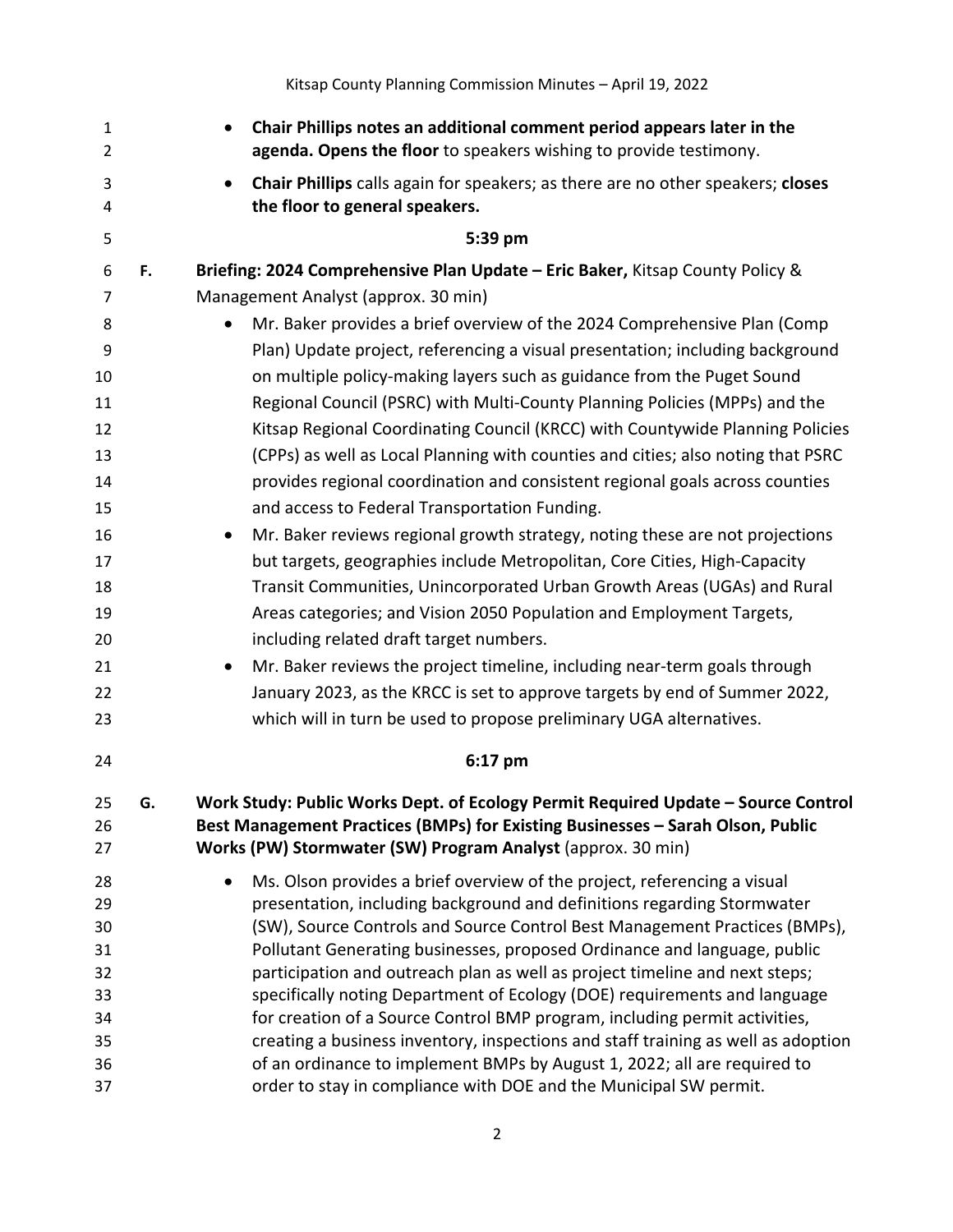| $\mathbf{1}$<br>$\overline{2}$ |    | Chair Phillips notes an additional comment period appears later in the<br>$\bullet$<br>agenda. Opens the floor to speakers wishing to provide testimony.        |  |  |  |  |
|--------------------------------|----|-----------------------------------------------------------------------------------------------------------------------------------------------------------------|--|--|--|--|
| 3<br>4                         |    | Chair Phillips calls again for speakers; as there are no other speakers; closes<br>$\bullet$<br>the floor to general speakers.                                  |  |  |  |  |
| 5                              |    | 5:39 pm                                                                                                                                                         |  |  |  |  |
| 6                              | F. | Briefing: 2024 Comprehensive Plan Update - Eric Baker, Kitsap County Policy &                                                                                   |  |  |  |  |
| 7                              |    | Management Analyst (approx. 30 min)                                                                                                                             |  |  |  |  |
| 8                              |    | Mr. Baker provides a brief overview of the 2024 Comprehensive Plan (Comp<br>$\bullet$                                                                           |  |  |  |  |
| 9                              |    | Plan) Update project, referencing a visual presentation; including background                                                                                   |  |  |  |  |
| 10                             |    | on multiple policy-making layers such as guidance from the Puget Sound                                                                                          |  |  |  |  |
| 11                             |    | Regional Council (PSRC) with Multi-County Planning Policies (MPPs) and the                                                                                      |  |  |  |  |
| 12                             |    | Kitsap Regional Coordinating Council (KRCC) with Countywide Planning Policies                                                                                   |  |  |  |  |
| 13                             |    | (CPPs) as well as Local Planning with counties and cities; also noting that PSRC                                                                                |  |  |  |  |
| 14                             |    | provides regional coordination and consistent regional goals across counties                                                                                    |  |  |  |  |
| 15                             |    | and access to Federal Transportation Funding.                                                                                                                   |  |  |  |  |
| 16                             |    | Mr. Baker reviews regional growth strategy, noting these are not projections<br>$\bullet$                                                                       |  |  |  |  |
| 17                             |    | but targets, geographies include Metropolitan, Core Cities, High-Capacity                                                                                       |  |  |  |  |
| 18                             |    | Transit Communities, Unincorporated Urban Growth Areas (UGAs) and Rural                                                                                         |  |  |  |  |
| 19                             |    | Areas categories; and Vision 2050 Population and Employment Targets,                                                                                            |  |  |  |  |
| 20                             |    | including related draft target numbers.                                                                                                                         |  |  |  |  |
| 21                             |    | Mr. Baker reviews the project timeline, including near-term goals through<br>$\bullet$                                                                          |  |  |  |  |
| 22                             |    | January 2023, as the KRCC is set to approve targets by end of Summer 2022,                                                                                      |  |  |  |  |
| 23                             |    | which will in turn be used to propose preliminary UGA alternatives.                                                                                             |  |  |  |  |
| 24                             |    | 6:17 pm                                                                                                                                                         |  |  |  |  |
| 25                             | G. | Work Study: Public Works Dept. of Ecology Permit Required Update - Source Control                                                                               |  |  |  |  |
| 26                             |    | Best Management Practices (BMPs) for Existing Businesses - Sarah Olson, Public                                                                                  |  |  |  |  |
| 27                             |    | Works (PW) Stormwater (SW) Program Analyst (approx. 30 min)                                                                                                     |  |  |  |  |
| 28                             |    | Ms. Olson provides a brief overview of the project, referencing a visual<br>$\bullet$                                                                           |  |  |  |  |
| 29                             |    | presentation, including background and definitions regarding Stormwater                                                                                         |  |  |  |  |
| 30                             |    | (SW), Source Controls and Source Control Best Management Practices (BMPs),                                                                                      |  |  |  |  |
| 31                             |    | Pollutant Generating businesses, proposed Ordinance and language, public                                                                                        |  |  |  |  |
| 32                             |    | participation and outreach plan as well as project timeline and next steps;                                                                                     |  |  |  |  |
| 33                             |    | specifically noting Department of Ecology (DOE) requirements and language                                                                                       |  |  |  |  |
| 34<br>35                       |    | for creation of a Source Control BMP program, including permit activities,<br>creating a business inventory, inspections and staff training as well as adoption |  |  |  |  |
| 36                             |    | of an ordinance to implement BMPs by August 1, 2022; all are required to                                                                                        |  |  |  |  |
| 37                             |    | order to stay in compliance with DOE and the Municipal SW permit.                                                                                               |  |  |  |  |

Kitsap County Planning Commission Minutes – April 19, 2022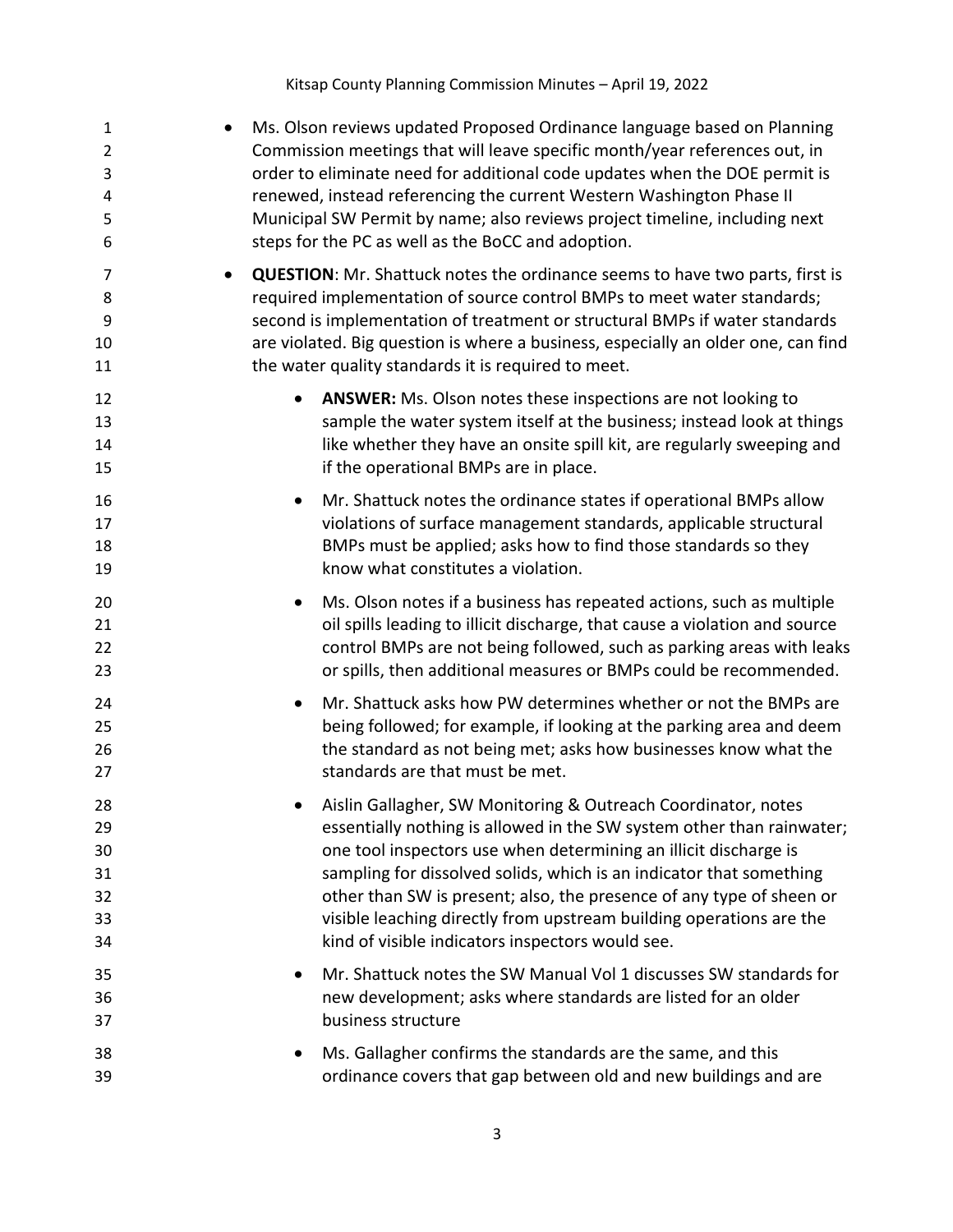| $\mathbf{1}$<br>$\overline{2}$<br>3<br>4<br>5<br>6 |           | Ms. Olson reviews updated Proposed Ordinance language based on Planning<br>Commission meetings that will leave specific month/year references out, in<br>order to eliminate need for additional code updates when the DOE permit is<br>renewed, instead referencing the current Western Washington Phase II<br>Municipal SW Permit by name; also reviews project timeline, including next<br>steps for the PC as well as the BoCC and adoption.                                      |
|----------------------------------------------------|-----------|--------------------------------------------------------------------------------------------------------------------------------------------------------------------------------------------------------------------------------------------------------------------------------------------------------------------------------------------------------------------------------------------------------------------------------------------------------------------------------------|
| 7<br>8<br>9<br>10<br>11                            |           | <b>QUESTION:</b> Mr. Shattuck notes the ordinance seems to have two parts, first is<br>required implementation of source control BMPs to meet water standards;<br>second is implementation of treatment or structural BMPs if water standards<br>are violated. Big question is where a business, especially an older one, can find<br>the water quality standards it is required to meet.                                                                                            |
| 12<br>13<br>14<br>15                               | $\bullet$ | ANSWER: Ms. Olson notes these inspections are not looking to<br>sample the water system itself at the business; instead look at things<br>like whether they have an onsite spill kit, are regularly sweeping and<br>if the operational BMPs are in place.                                                                                                                                                                                                                            |
| 16<br>17<br>18<br>19                               | $\bullet$ | Mr. Shattuck notes the ordinance states if operational BMPs allow<br>violations of surface management standards, applicable structural<br>BMPs must be applied; asks how to find those standards so they<br>know what constitutes a violation.                                                                                                                                                                                                                                       |
| 20<br>21<br>22<br>23                               | $\bullet$ | Ms. Olson notes if a business has repeated actions, such as multiple<br>oil spills leading to illicit discharge, that cause a violation and source<br>control BMPs are not being followed, such as parking areas with leaks<br>or spills, then additional measures or BMPs could be recommended.                                                                                                                                                                                     |
| 24<br>25<br>26<br>27                               | $\bullet$ | Mr. Shattuck asks how PW determines whether or not the BMPs are<br>being followed; for example, if looking at the parking area and deem<br>the standard as not being met; asks how businesses know what the<br>standards are that must be met.                                                                                                                                                                                                                                       |
| 28<br>29<br>30<br>31<br>32<br>33<br>34             |           | Aislin Gallagher, SW Monitoring & Outreach Coordinator, notes<br>essentially nothing is allowed in the SW system other than rainwater;<br>one tool inspectors use when determining an illicit discharge is<br>sampling for dissolved solids, which is an indicator that something<br>other than SW is present; also, the presence of any type of sheen or<br>visible leaching directly from upstream building operations are the<br>kind of visible indicators inspectors would see. |
| 35<br>36<br>37                                     | $\bullet$ | Mr. Shattuck notes the SW Manual Vol 1 discusses SW standards for<br>new development; asks where standards are listed for an older<br>business structure                                                                                                                                                                                                                                                                                                                             |
| 38<br>39                                           |           | Ms. Gallagher confirms the standards are the same, and this<br>ordinance covers that gap between old and new buildings and are                                                                                                                                                                                                                                                                                                                                                       |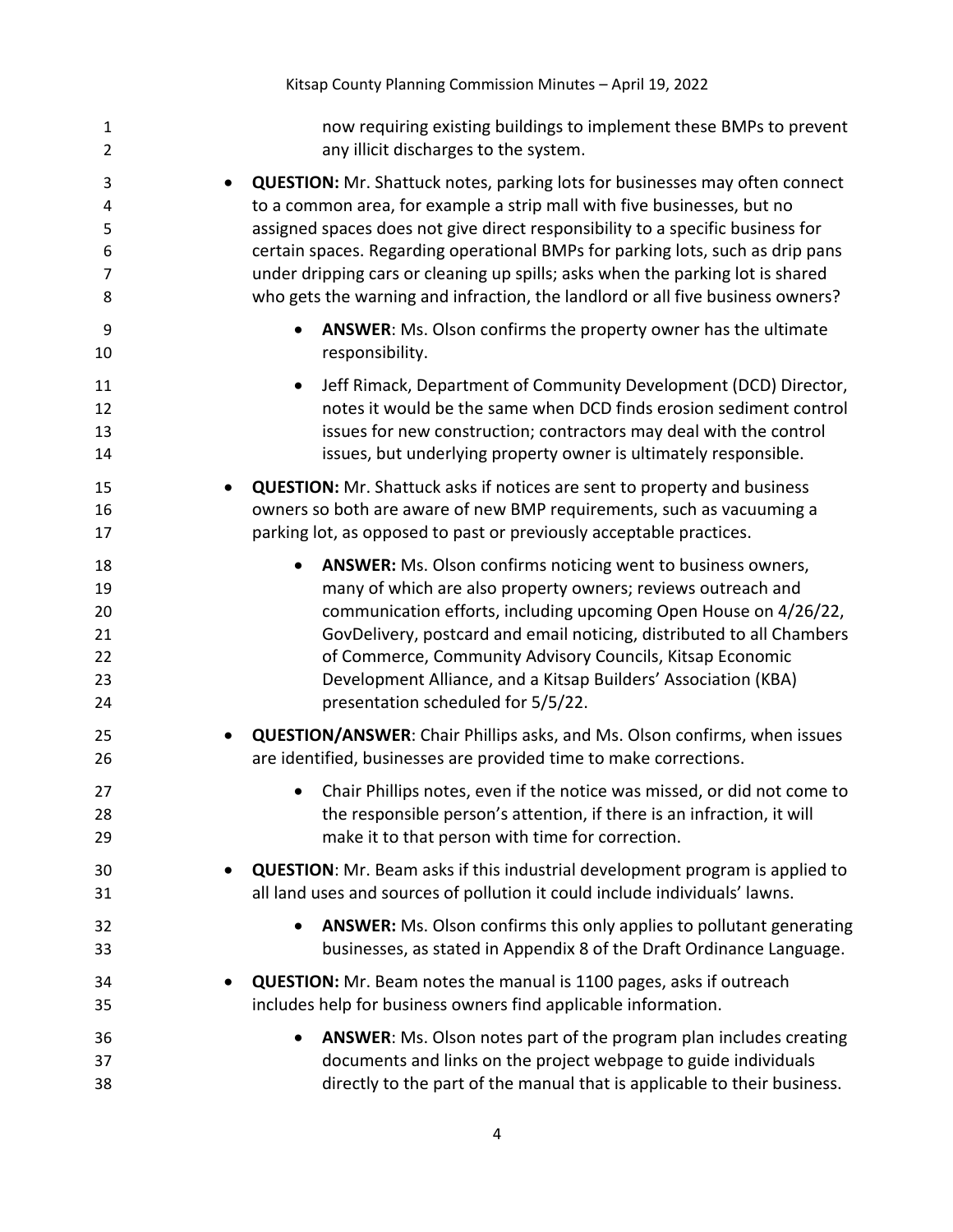| $\mathbf{1}$   | now requiring existing buildings to implement these BMPs to prevent                 |
|----------------|-------------------------------------------------------------------------------------|
| $\overline{2}$ | any illicit discharges to the system.                                               |
| 3              | <b>QUESTION:</b> Mr. Shattuck notes, parking lots for businesses may often connect  |
| 4              | to a common area, for example a strip mall with five businesses, but no             |
| 5              | assigned spaces does not give direct responsibility to a specific business for      |
| 6              | certain spaces. Regarding operational BMPs for parking lots, such as drip pans      |
| $\overline{7}$ | under dripping cars or cleaning up spills; asks when the parking lot is shared      |
| 8              | who gets the warning and infraction, the landlord or all five business owners?      |
| 9              | <b>ANSWER:</b> Ms. Olson confirms the property owner has the ultimate               |
| 10             | responsibility.                                                                     |
| 11             | Jeff Rimack, Department of Community Development (DCD) Director,                    |
| 12             | notes it would be the same when DCD finds erosion sediment control                  |
| 13             | issues for new construction; contractors may deal with the control                  |
| 14             | issues, but underlying property owner is ultimately responsible.                    |
| 15             | <b>QUESTION:</b> Mr. Shattuck asks if notices are sent to property and business     |
| 16             | owners so both are aware of new BMP requirements, such as vacuuming a               |
| 17             | parking lot, as opposed to past or previously acceptable practices.                 |
| 18             | ANSWER: Ms. Olson confirms noticing went to business owners,                        |
| 19             | many of which are also property owners; reviews outreach and                        |
| 20             | communication efforts, including upcoming Open House on 4/26/22,                    |
| 21             | GovDelivery, postcard and email noticing, distributed to all Chambers               |
| 22             | of Commerce, Community Advisory Councils, Kitsap Economic                           |
| 23             | Development Alliance, and a Kitsap Builders' Association (KBA)                      |
| 24             | presentation scheduled for 5/5/22.                                                  |
| 25             | <b>QUESTION/ANSWER:</b> Chair Phillips asks, and Ms. Olson confirms, when issues    |
| 26             | are identified, businesses are provided time to make corrections.                   |
| 27             | Chair Phillips notes, even if the notice was missed, or did not come to             |
| 28             | the responsible person's attention, if there is an infraction, it will              |
| 29             | make it to that person with time for correction.                                    |
| 30             | <b>QUESTION:</b> Mr. Beam asks if this industrial development program is applied to |
| 31             | all land uses and sources of pollution it could include individuals' lawns.         |
| 32             | ANSWER: Ms. Olson confirms this only applies to pollutant generating                |
| 33             | businesses, as stated in Appendix 8 of the Draft Ordinance Language.                |
| 34             | <b>QUESTION:</b> Mr. Beam notes the manual is 1100 pages, asks if outreach          |
| 35             | includes help for business owners find applicable information.                      |
| 36             | ANSWER: Ms. Olson notes part of the program plan includes creating                  |
| 37             | documents and links on the project webpage to guide individuals                     |
| 38             | directly to the part of the manual that is applicable to their business.            |